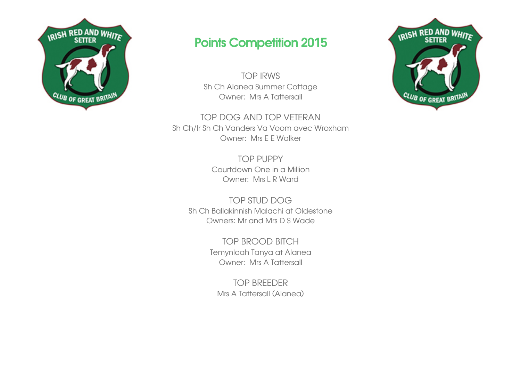

## Points Competition 2015

TOP IRWS Sh Ch Alanea Summer Cottage Owner: Mrs A Tattersall

TOP DOG AND TOP VETERAN Sh Ch/Ir Sh Ch Vanders Va Voom avec Wroxham Owner: Mrs E E Walker

> TOP PUPPY Courtdown One in a Million Owner: Mrs L R Ward

TOP STUD DOG Sh Ch Ballakinnish Malachi at Oldestone Owners: Mr and Mrs D S Wade

> TOP BROOD BITCH Temynloah Tanya at Alanea Owner: Mrs A Tattersall

TOP BREEDER Mrs A Tattersall (Alanea)

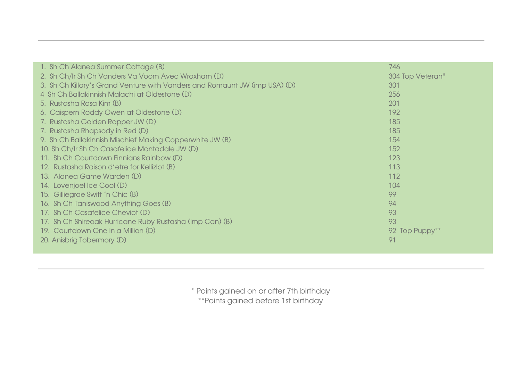| 1. Sh Ch Alanea Summer Cottage (B)                                         | 746              |
|----------------------------------------------------------------------------|------------------|
| 2. Sh Ch/Ir Sh Ch Vanders Va Voom Avec Wroxham (D)                         | 304 Top Veteran* |
| 3. Sh Ch Killary's Grand Venture with Vanders and Romaunt JW (imp USA) (D) | 301              |
| 4 Sh Ch Ballakinnish Malachi at Oldestone (D)                              | 256              |
| 5. Rustasha Rosa Kim (B)                                                   | 201              |
| 6. Caispern Roddy Owen at Oldestone (D)                                    | 192              |
| 7. Rustasha Golden Rapper JW (D)                                           | 185              |
| 7. Rustasha Rhapsody in Red (D)                                            | 185              |
| 9. Sh Ch Ballakinnish Mischief Making Copperwhite JW (B)                   | 154              |
| 10. Sh Ch/Ir Sh Ch Casafelice Montadale JW (D)                             | 152              |
| 11. Sh Ch Courtdown Finnians Rainbow (D)                                   | 123              |
| 12. Rustasha Raison d'etre for Kellizlot (B)                               | 113              |
| 13. Alanea Game Warden (D)                                                 | 112              |
| 14. Lovenjoel Ice Cool (D)                                                 | 104              |
| 15. Gilliegrae Swift 'n Chic (B)                                           | 99               |
| 16. Sh Ch Taniswood Anything Goes (B)                                      | 94               |
| 17. Sh Ch Casafelice Cheviot (D)                                           | 93               |
| 17. Sh Ch Shireoak Hurricane Ruby Rustasha (imp Can) (B)                   | 93               |
| 19. Courtdown One in a Million (D)                                         | 92 Top Puppy**   |
| 20. Anisbrig Tobermory (D)                                                 | 91               |
|                                                                            |                  |

\* Points gained on or after 7th birthday \*\*Points gained before 1st birthday